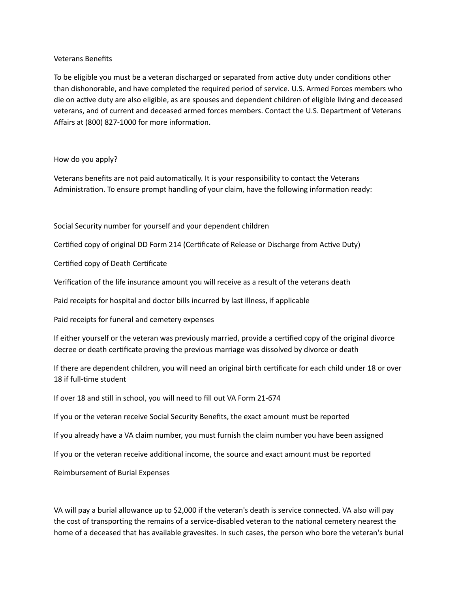#### Veterans Benefits

To be eligible you must be a veteran discharged or separated from active duty under conditions other than dishonorable, and have completed the required period of service. U.S. Armed Forces members who die on active duty are also eligible, as are spouses and dependent children of eligible living and deceased veterans, and of current and deceased armed forces members. Contact the U.S. Department of Veterans Affairs at (800) 827-1000 for more information.

## How do you apply?

Veterans benefits are not paid automatically. It is your responsibility to contact the Veterans Administration. To ensure prompt handling of your claim, have the following information ready:

Social Security number for yourself and your dependent children

Certified copy of original DD Form 214 (Certificate of Release or Discharge from Active Duty)

Certified copy of Death Certificate

Verification of the life insurance amount you will receive as a result of the veterans death

Paid receipts for hospital and doctor bills incurred by last illness, if applicable

Paid receipts for funeral and cemetery expenses

If either yourself or the veteran was previously married, provide a certified copy of the original divorce decree or death certificate proving the previous marriage was dissolved by divorce or death

If there are dependent children, you will need an original birth certificate for each child under 18 or over 18 if full-time student

If over 18 and still in school, you will need to fill out VA Form 21-674

If you or the veteran receive Social Security Benefits, the exact amount must be reported

If you already have a VA claim number, you must furnish the claim number you have been assigned

If you or the veteran receive additional income, the source and exact amount must be reported

Reimbursement of Burial Expenses

VA will pay a burial allowance up to \$2,000 if the veteran's death is service connected. VA also will pay the cost of transporting the remains of a service-disabled veteran to the national cemetery nearest the home of a deceased that has available gravesites. In such cases, the person who bore the veteran's burial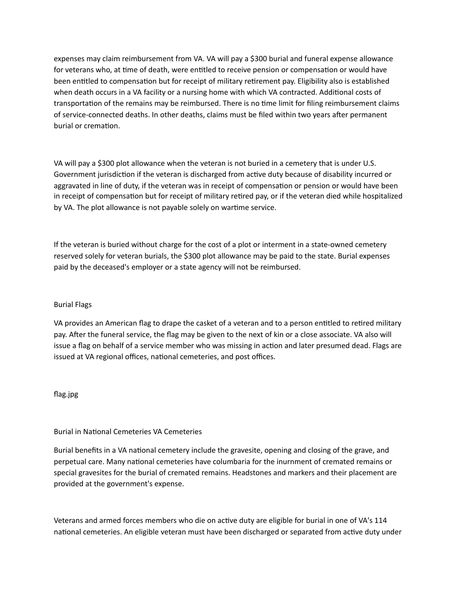expenses may claim reimbursement from VA. VA will pay a \$300 burial and funeral expense allowance for veterans who, at time of death, were entitled to receive pension or compensation or would have been entitled to compensation but for receipt of military retirement pay. Eligibility also is established when death occurs in a VA facility or a nursing home with which VA contracted. Additional costs of transportation of the remains may be reimbursed. There is no time limit for filing reimbursement claims of service-connected deaths. In other deaths, claims must be filed within two years after permanent burial or cremation.

VA will pay a \$300 plot allowance when the veteran is not buried in a cemetery that is under U.S. Government jurisdiction if the veteran is discharged from active duty because of disability incurred or aggravated in line of duty, if the veteran was in receipt of compensation or pension or would have been in receipt of compensation but for receipt of military retired pay, or if the veteran died while hospitalized by VA. The plot allowance is not payable solely on wartime service.

If the veteran is buried without charge for the cost of a plot or interment in a state-owned cemetery reserved solely for veteran burials, the \$300 plot allowance may be paid to the state. Burial expenses paid by the deceased's employer or a state agency will not be reimbursed.

## **Burial Flags**

VA provides an American flag to drape the casket of a veteran and to a person entitled to retired military pay. After the funeral service, the flag may be given to the next of kin or a close associate. VA also will issue a flag on behalf of a service member who was missing in action and later presumed dead. Flags are issued at VA regional offices, national cemeteries, and post offices.

flag.jpg

# Burial in National Cemeteries VA Cemeteries

Burial benefits in a VA national cemetery include the gravesite, opening and closing of the grave, and perpetual care. Many national cemeteries have columbaria for the inurnment of cremated remains or special gravesites for the burial of cremated remains. Headstones and markers and their placement are provided at the government's expense.

Veterans and armed forces members who die on active duty are eligible for burial in one of VA's 114 national cemeteries. An eligible veteran must have been discharged or separated from active duty under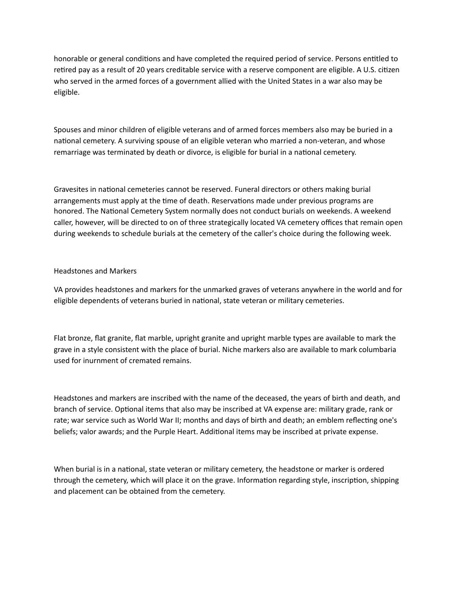honorable or general conditions and have completed the required period of service. Persons entitled to retired pay as a result of 20 years creditable service with a reserve component are eligible. A U.S. citizen who served in the armed forces of a government allied with the United States in a war also may be eligible.

Spouses and minor children of eligible veterans and of armed forces members also may be buried in a national cemetery. A surviving spouse of an eligible veteran who married a non-veteran, and whose remarriage was terminated by death or divorce, is eligible for burial in a national cemetery.

Gravesites in national cemeteries cannot be reserved. Funeral directors or others making burial arrangements must apply at the time of death. Reservations made under previous programs are honored. The National Cemetery System normally does not conduct burials on weekends. A weekend caller, however, will be directed to on of three strategically located VA cemetery offices that remain open during weekends to schedule burials at the cemetery of the caller's choice during the following week.

### Headstones and Markers

VA provides headstones and markers for the unmarked graves of veterans anywhere in the world and for eligible dependents of veterans buried in national, state veteran or military cemeteries.

Flat bronze, flat granite, flat marble, upright granite and upright marble types are available to mark the grave in a style consistent with the place of burial. Niche markers also are available to mark columbaria used for inurnment of cremated remains.

Headstones and markers are inscribed with the name of the deceased, the years of birth and death, and branch of service. Optional items that also may be inscribed at VA expense are: military grade, rank or rate; war service such as World War II; months and days of birth and death; an emblem reflecting one's beliefs; valor awards; and the Purple Heart. Additional items may be inscribed at private expense.

When burial is in a national, state veteran or military cemetery, the headstone or marker is ordered through the cemetery, which will place it on the grave. Information regarding style, inscription, shipping and placement can be obtained from the cemetery.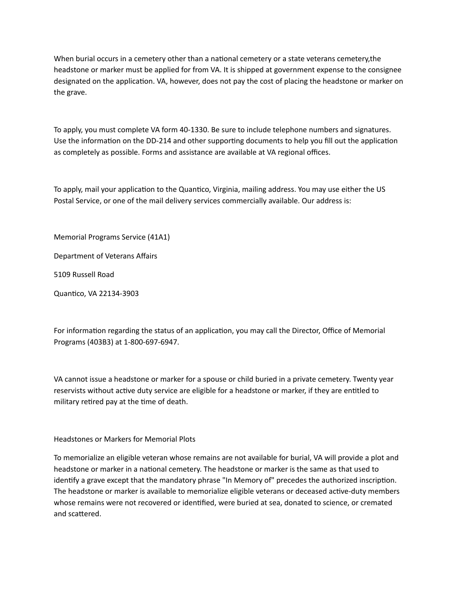When burial occurs in a cemetery other than a national cemetery or a state veterans cemetery, the headstone or marker must be applied for from VA. It is shipped at government expense to the consignee designated on the application. VA, however, does not pay the cost of placing the headstone or marker on the grave.

To apply, you must complete VA form 40-1330. Be sure to include telephone numbers and signatures. Use the information on the DD-214 and other supporting documents to help you fill out the application as completely as possible. Forms and assistance are available at VA regional offices.

To apply, mail your application to the Quantico, Virginia, mailing address. You may use either the US Postal Service, or one of the mail delivery services commercially available. Our address is:

Memorial Programs Service (41A1)

Department of Veterans Affairs

5109 Russell Road

Quantico, VA 22134-3903

For information regarding the status of an application, you may call the Director, Office of Memorial Programs (403B3) at 1-800-697-6947.

VA cannot issue a headstone or marker for a spouse or child buried in a private cemetery. Twenty year reservists without active duty service are eligible for a headstone or marker, if they are entitled to military retired pay at the time of death.

Headstones or Markers for Memorial Plots

To memorialize an eligible veteran whose remains are not available for burial, VA will provide a plot and headstone or marker in a national cemetery. The headstone or marker is the same as that used to identify a grave except that the mandatory phrase "In Memory of" precedes the authorized inscription. The headstone or marker is available to memorialize eligible veterans or deceased active-duty members whose remains were not recovered or identified, were buried at sea, donated to science, or cremated and scattered.